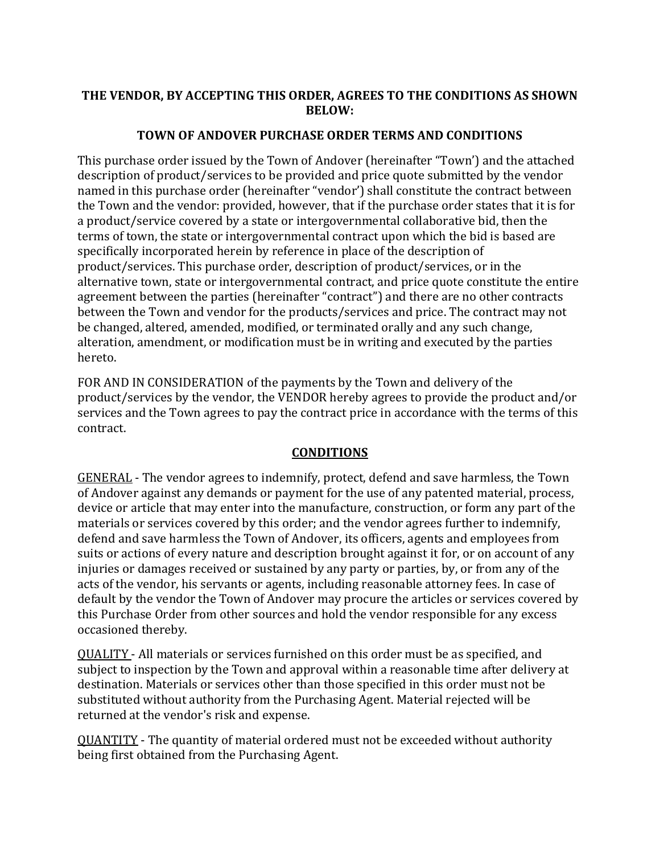## **THE VENDOR, BY ACCEPTING THIS ORDER, AGREES TO THE CONDITIONS AS SHOWN BELOW:**

## **TOWN OF ANDOVER PURCHASE ORDER TERMS AND CONDITIONS**

This purchase order issued by the Town of Andover (hereinafter "Town') and the attached description of product/services to be provided and price quote submitted by the vendor named in this purchase order (hereinafter "vendor') shall constitute the contract between the Town and the vendor: provided, however, that if the purchase order states that it is for a product/service covered by a state or intergovernmental collaborative bid, then the terms of town, the state or intergovernmental contract upon which the bid is based are specifically incorporated herein by reference in place of the description of product/services. This purchase order, description of product/services, or in the alternative town, state or intergovernmental contract, and price quote constitute the entire agreement between the parties (hereinafter "contract") and there are no other contracts between the Town and vendor for the products/services and price. The contract may not be changed, altered, amended, modified, or terminated orally and any such change, alteration, amendment, or modification must be in writing and executed by the parties hereto.

FOR AND IN CONSIDERATION of the payments by the Town and delivery of the product/services by the vendor, the VENDOR hereby agrees to provide the product and/or services and the Town agrees to pay the contract price in accordance with the terms of this contract.

## **CONDITIONS**

GENERAL - The vendor agrees to indemnify, protect, defend and save harmless, the Town of Andover against any demands or payment for the use of any patented material, process, device or article that may enter into the manufacture, construction, or form any part of the materials or services covered by this order; and the vendor agrees further to indemnify, defend and save harmless the Town of Andover, its officers, agents and employees from suits or actions of every nature and description brought against it for, or on account of any injuries or damages received or sustained by any party or parties, by, or from any of the acts of the vendor, his servants or agents, including reasonable attorney fees. In case of default by the vendor the Town of Andover may procure the articles or services covered by this Purchase Order from other sources and hold the vendor responsible for any excess occasioned thereby.

QUALITY - All materials or services furnished on this order must be as specified, and subject to inspection by the Town and approval within a reasonable time after delivery at destination. Materials or services other than those specified in this order must not be substituted without authority from the Purchasing Agent. Material rejected will be returned at the vendor's risk and expense.

QUANTITY - The quantity of material ordered must not be exceeded without authority being first obtained from the Purchasing Agent.